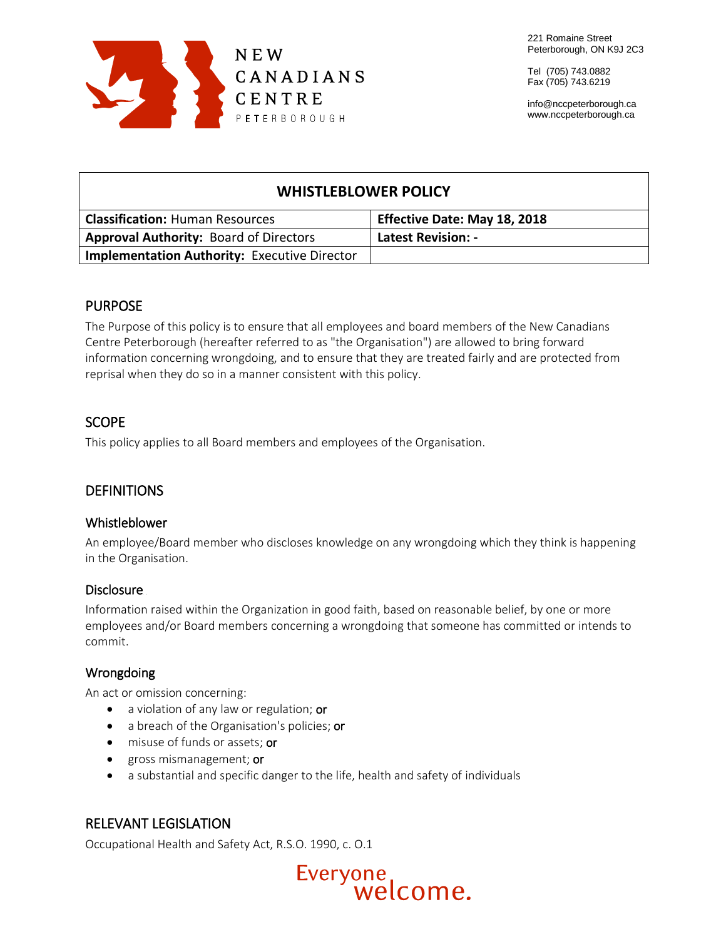

Tel (705) 743.0882 Fax (705) 743.6219

info@nccpeterborough.ca www.nccpeterborough.ca

| <b>WHISTLEBLOWER POLICY</b>                         |                                     |
|-----------------------------------------------------|-------------------------------------|
| <b>Classification: Human Resources</b>              | <b>Effective Date: May 18, 2018</b> |
| <b>Approval Authority: Board of Directors</b>       | <b>Latest Revision: -</b>           |
| <b>Implementation Authority: Executive Director</b> |                                     |

## PURPOSE

The Purpose of this policy is to ensure that all employees and board members of the New Canadians Centre Peterborough (hereafter referred to as "the Organisation") are allowed to bring forward information concerning wrongdoing, and to ensure that they are treated fairly and are protected from reprisal when they do so in a manner consistent with this policy.

## **SCOPE**

This policy applies to all Board members and employees of the Organisation.

## **DEFINITIONS**

#### Whistleblower

An employee/Board member who discloses knowledge on any wrongdoing which they think is happening in the Organisation.

#### Disclosure

Information raised within the Organization in good faith, based on reasonable belief, by one or more employees and/or Board members concerning a wrongdoing that someone has committed or intends to commit.

#### Wrongdoing

An act or omission concerning:

- a violation of any law or regulation; or
- a breach of the Organisation's policies; or
- misuse of funds or assets; or
- **e** gross mismanagement; or
- a substantial and specific danger to the life, health and safety of individuals

## RELEVANT LEGISLATION

Occupational Health and Safety Act, R.S.O. 1990, c. O.1

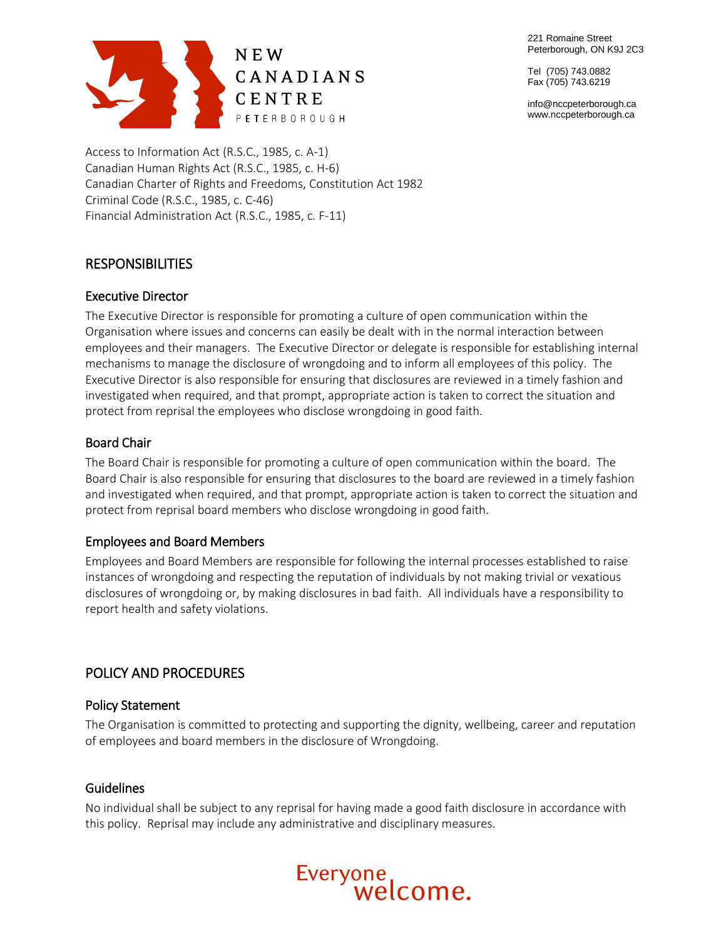

**NEW** CANADIANS CENTRE PETERBOROUGH

221 Romaine Street Peterborough, ON K9J 2C3

Tel (705) 743.0882 Fax (705) 743.6219

info@nccpeterborough.ca www.nccpeterborough.ca

Access to Information Act (R.S.C., 1985, c. A-1) Canadian Human Rights Act (R.S.C., 1985, c. H-6) Canadian Charter of Rights and Freedoms, Constitution Act 1982 Criminal Code (R.S.C., 1985, c. C-46) Financial Administration Act (R.S.C., 1985, c. F-11)

# **RESPONSIBILITIES**

## Executive Director

The Executive Director is responsible for promoting a culture of open communication within the Organisation where issues and concerns can easily be dealt with in the normal interaction between employees and their managers. The Executive Director or delegate is responsible for establishing internal mechanisms to manage the disclosure of wrongdoing and to inform all employees of this policy. The Executive Director is also responsible for ensuring that disclosures are reviewed in a timely fashion and investigated when required, and that prompt, appropriate action is taken to correct the situation and protect from reprisal the employees who disclose wrongdoing in good faith.

## Board Chair

The Board Chair is responsible for promoting a culture of open communication within the board. The Board Chair is also responsible for ensuring that disclosures to the board are reviewed in a timely fashion and investigated when required, and that prompt, appropriate action is taken to correct the situation and protect from reprisal board members who disclose wrongdoing in good faith.

## Employees and Board Members

Employees and Board Members are responsible for following the internal processes established to raise instances of wrongdoing and respecting the reputation of individuals by not making trivial or vexatious disclosures of wrongdoing or, by making disclosures in bad faith. All individuals have a responsibility to report health and safety violations.

## POLICY AND PROCEDURES

#### Policy Statement

The Organisation is committed to protecting and supporting the dignity, wellbeing, career and reputation of employees and board members in the disclosure of Wrongdoing.

## **Guidelines**

No individual shall be subject to any reprisal for having made a good faith disclosure in accordance with this policy. Reprisal may include any administrative and disciplinary measures.

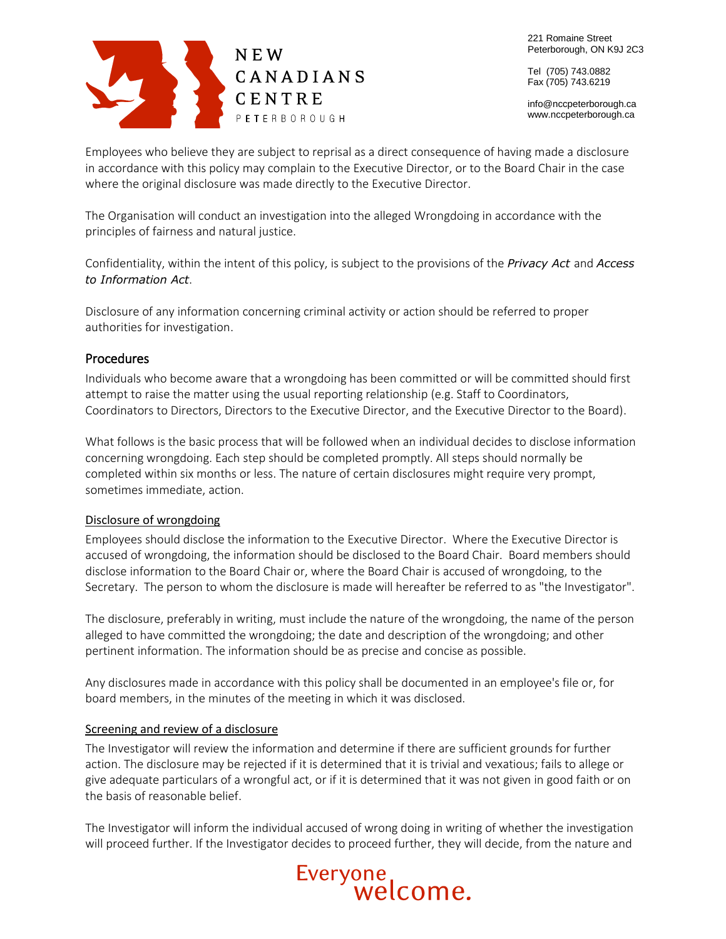



Tel (705) 743.0882 Fax (705) 743.6219

info@nccpeterborough.ca www.nccpeterborough.ca

Employees who believe they are subject to reprisal as a direct consequence of having made a disclosure in accordance with this policy may complain to the Executive Director, or to the Board Chair in the case where the original disclosure was made directly to the Executive Director.

The Organisation will conduct an investigation into the alleged Wrongdoing in accordance with the principles of fairness and natural justice.

Confidentiality, within the intent of this policy, is subject to the provisions of the *Privacy Act* and *Access to Information Act*.

Disclosure of any information concerning criminal activity or action should be referred to proper authorities for investigation.

### Procedures

Individuals who become aware that a wrongdoing has been committed or will be committed should first attempt to raise the matter using the usual reporting relationship (e.g. Staff to Coordinators, Coordinators to Directors, Directors to the Executive Director, and the Executive Director to the Board).

What follows is the basic process that will be followed when an individual decides to disclose information concerning wrongdoing. Each step should be completed promptly. All steps should normally be completed within six months or less. The nature of certain disclosures might require very prompt, sometimes immediate, action.

#### Disclosure of wrongdoing

Employees should disclose the information to the Executive Director. Where the Executive Director is accused of wrongdoing, the information should be disclosed to the Board Chair. Board members should disclose information to the Board Chair or, where the Board Chair is accused of wrongdoing, to the Secretary. The person to whom the disclosure is made will hereafter be referred to as "the Investigator".

The disclosure, preferably in writing, must include the nature of the wrongdoing, the name of the person alleged to have committed the wrongdoing; the date and description of the wrongdoing; and other pertinent information. The information should be as precise and concise as possible.

Any disclosures made in accordance with this policy shall be documented in an employee's file or, for board members, in the minutes of the meeting in which it was disclosed.

#### Screening and review of a disclosure

The Investigator will review the information and determine if there are sufficient grounds for further action. The disclosure may be rejected if it is determined that it is trivial and vexatious; fails to allege or give adequate particulars of a wrongful act, or if it is determined that it was not given in good faith or on the basis of reasonable belief.

The Investigator will inform the individual accused of wrong doing in writing of whether the investigation will proceed further. If the Investigator decides to proceed further, they will decide, from the nature and